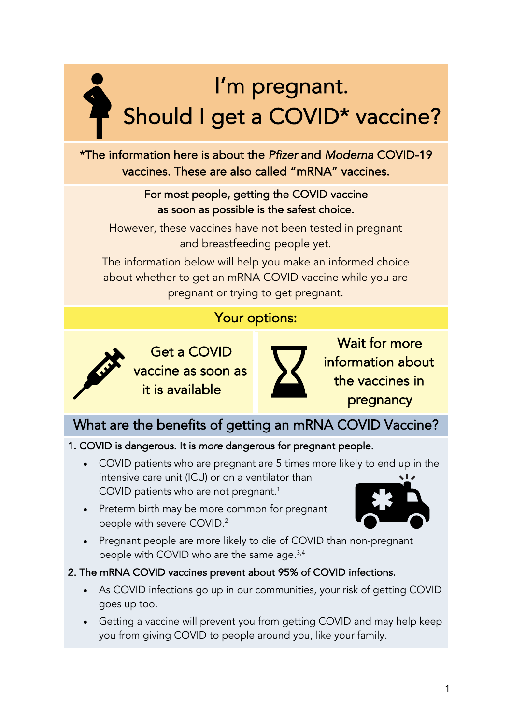# I'm pregnant. Should I get a COVID\* vaccine?

\*The information here is about the *Pfizer* and *Moderna* COVID-19 vaccines. These are also called "mRNA" vaccines.

#### For most people, getting the COVID vaccine as soon as possible is the safest choice.

However, these vaccines have not been tested in pregnant and breastfeeding people yet.

The information below will help you make an informed choice about whether to get an mRNA COVID vaccine while you are pregnant or trying to get pregnant.

## Your options:



Get a COVID vaccine as soon as it is available



Wait for more information about the vaccines in pregnancy

#### What are the benefits of getting an mRNA COVID Vaccine?

#### 1. COVID is dangerous. It is *more* dangerous for pregnant people.

- COVID patients who are pregnant are 5 times more likely to end up in the intensive care unit (ICU) or on a ventilator than COVID patients who are not pregnant. 1
- Preterm birth may be more common for pregnant people with severe COVID. $^2$



• Pregnant people are more likely to die of COVID than non-pregnant people with COVID who are the same age.<sup>3,4</sup>

#### 2. The mRNA COVID vaccines prevent about 95% of COVID infections.

- As COVID infections go up in our communities, your risk of getting COVID goes up too.
- Getting a vaccine will prevent you from getting COVID and may help keep you from giving COVID to people around you, like your family.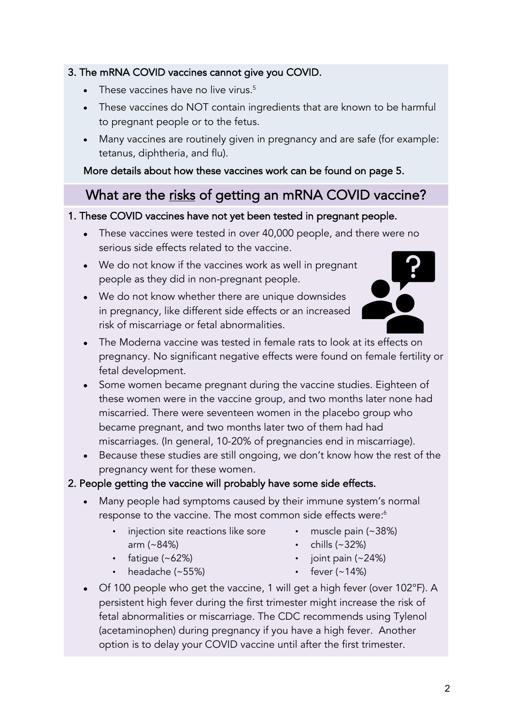- muscle pain (~38%)
	- $\cdot$  chills (~32%)
	- $\cdot$  joint pain (~24%)
	- fever  $(-14%)$
- Of 100 people who get the vaccine, 1 will get a high fever (over 102°F). A persistent high fever during the first trimester might increase the risk of fetal abnormalities or miscarriage. The CDC recommends using Tylenol (acetaminophen) during pregnancy if you have a high fever. Another option is to delay your COVID vaccine until after the first trimester.

## • We do not know if the vaccines work as well in pregnant

- people as they did in non-pregnant people.
- We do not know whether there are unique downsides in pregnancy, like different side effects or an increased risk of miscarriage or fetal abnormalities.

tetanus, diphtheria, and flu). More details about how these vaccines work can be found on page 5.

3. The mRNA COVID vaccines cannot give you COVID.

These vaccines have no live virus.<sup>5</sup>

to pregnant people or to the fetus.

### What are the risks of getting an mRNA COVID vaccine?

• These vaccines do NOT contain ingredients that are known to be harmful

• Many vaccines are routinely given in pregnancy and are safe (for example:

#### 1. These COVID vaccines have not yet been tested in pregnant people.

- These vaccines were tested in over 40,000 people, and there were no serious side effects related to the vaccine.
- 
- The Moderna vaccine was tested in female rats to look at its effects on pregnancy. No significant negative effects were found on female fertility or fetal development.
- Some women became pregnant during the vaccine studies. Eighteen of these women were in the vaccine group, and two months later none had miscarried. There were seventeen women in the placebo group who became pregnant, and two months later two of them had had miscarriages. (In general, 10-20% of pregnancies end in miscarriage).
- Because these studies are still ongoing, we don't know how the rest of the pregnancy went for these women.

#### 2. People getting the vaccine will probably have some side effects.

- Many people had symptoms caused by their immune system's normal response to the vaccine. The most common side effects were:<sup>6</sup>
	- injection site reactions like sore arm (~84%)
	- fatigue (~62%)
	- headache (~55%)

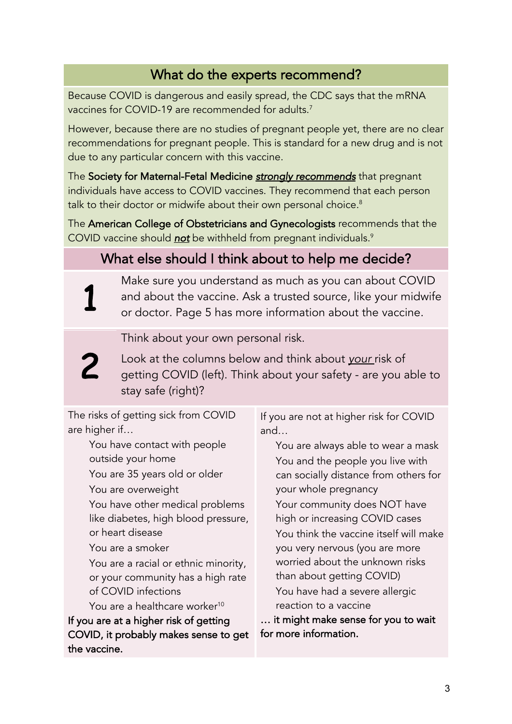## What do the experts recommend?

Because COVID is dangerous and easily spread, the CDC says that the mRNA vaccines for COVID-19 are recommended for adults. $^7$ 

However, because there are no studies of pregnant people yet, there are no clear recommendations for pregnant people. This is standard for a new drug and is not due to any particular concern with this vaccine.

The Society for Maternal-Fetal Medicine *strongly recommends* that pregnant individuals have access to COVID vaccines. They recommend that each person talk to their doctor or midwife about their own personal choice.<sup>8</sup>

The American College of Obstetricians and Gynecologists recommends that the COVID vaccine should *not* be withheld from pregnant individuals.9

## What else should I think about to help me decide?

Make sure you understand as much as you can about COVID and about the vaccine. Ask a trusted source, like your midwife or doctor. Page 5 has more information about the vaccine.

Think about your own personal risk.

Look at the columns below and think about *your* risk of getting COVID (left). Think about your safety - are you able to stay safe (right)?

The risks of getting sick from COVID are higher if…

> You have contact with people outside your home You are 35 years old or older

You are overweight

1

2

 You have other medical problems like diabetes, high blood pressure, or heart disease

You are a smoker

 You are a racial or ethnic minority, or your community has a high rate of COVID infections

You are a healthcare worker<sup>10</sup> If you are at a higher risk of getting

COVID, it probably makes sense to get the vaccine.

If you are not at higher risk for COVID and…

 You are always able to wear a mask You and the people you live with can socially distance from others for your whole pregnancy Your community does NOT have high or increasing COVID cases You think the vaccine itself will make you very nervous (you are more worried about the unknown risks than about getting COVID) You have had a severe allergic reaction to a vaccine

… it might make sense for you to wait for more information.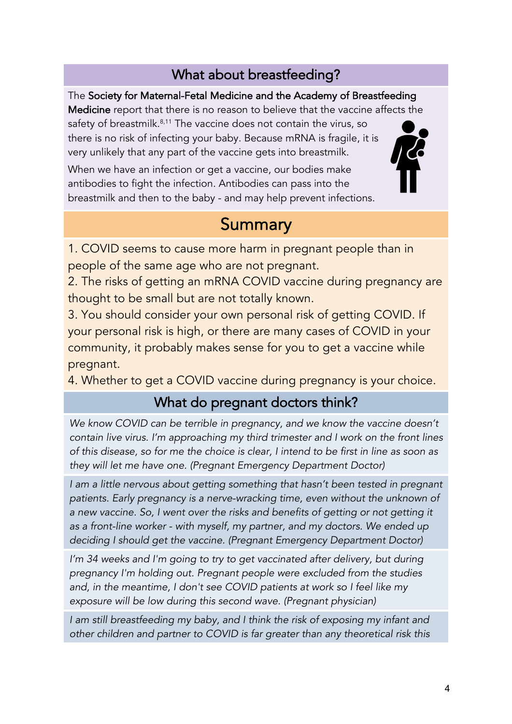## What about breastfeeding?

The Society for Maternal-Fetal Medicine and the Academy of Breastfeeding Medicine report that there is no reason to believe that the vaccine affects the safety of breastmilk.<sup>8,11</sup> The vaccine does not contain the virus, so there is no risk of infecting your baby. Because mRNA is fragile, it is very unlikely that any part of the vaccine gets into breastmilk.

When we have an infection or get a vaccine, our bodies make antibodies to fight the infection. Antibodies can pass into the breastmilk and then to the baby - and may help prevent infections.

## **Summary**

1. COVID seems to cause more harm in pregnant people than in people of the same age who are not pregnant.

2. The risks of getting an mRNA COVID vaccine during pregnancy are thought to be small but are not totally known.

3. You should consider your own personal risk of getting COVID. If your personal risk is high, or there are many cases of COVID in your community, it probably makes sense for you to get a vaccine while pregnant.

4. Whether to get a COVID vaccine during pregnancy is your choice.

## What do pregnant doctors think?

*We know COVID can be terrible in pregnancy, and we know the vaccine doesn't contain live virus. I'm approaching my third trimester and I work on the front lines of this disease, so for me the choice is clear, I intend to be first in line as soon as they will let me have one. (Pregnant Emergency Department Doctor)*

*I am a little nervous about getting something that hasn't been tested in pregnant patients. Early pregnancy is a nerve-wracking time, even without the unknown of a new vaccine. So, I went over the risks and benefits of getting or not getting it as a front-line worker - with myself, my partner, and my doctors. We ended up deciding I should get the vaccine. (Pregnant Emergency Department Doctor)*

*I'm 34 weeks and I'm going to try to get vaccinated after delivery, but during pregnancy I'm holding out. Pregnant people were excluded from the studies and, in the meantime, I don't see COVID patients at work so I feel like my exposure will be low during this second wave. (Pregnant physician)*

*I am still breastfeeding my baby, and I think the risk of exposing my infant and other children and partner to COVID is far greater than any theoretical risk this*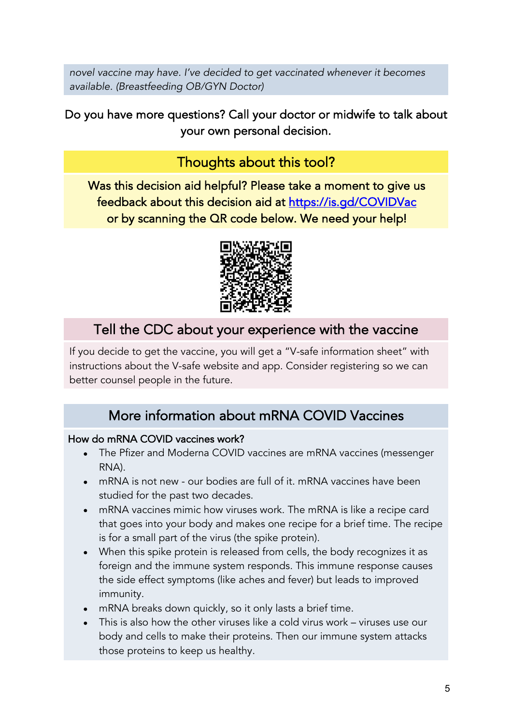*novel vaccine may have. I've decided to get vaccinated whenever it becomes available. (Breastfeeding OB/GYN Doctor)*

Do you have more questions? Call your doctor or midwife to talk about your own personal decision.

## Thoughts about this tool?

Was this decision aid helpful? Please take a moment to give us feedback about this decision aid at https://is.gd/COVIDVac or by scanning the QR code below. We need your help!



## Tell the CDC about your experience with the vaccine

If you decide to get the vaccine, you will get a "V-safe information sheet" with instructions about the V-safe website and app. Consider registering so we can better counsel people in the future.

### More information about mRNA COVID Vaccines

#### How do mRNA COVID vaccines work?

- The Pfizer and Moderna COVID vaccines are mRNA vaccines (messenger RNA).
- mRNA is not new our bodies are full of it. mRNA vaccines have been studied for the past two decades.
- mRNA vaccines mimic how viruses work. The mRNA is like a recipe card that goes into your body and makes one recipe for a brief time. The recipe is for a small part of the virus (the spike protein).
- When this spike protein is released from cells, the body recognizes it as foreign and the immune system responds. This immune response causes the side effect symptoms (like aches and fever) but leads to improved immunity.
- mRNA breaks down quickly, so it only lasts a brief time.
- This is also how the other viruses like a cold virus work viruses use our body and cells to make their proteins. Then our immune system attacks those proteins to keep us healthy.